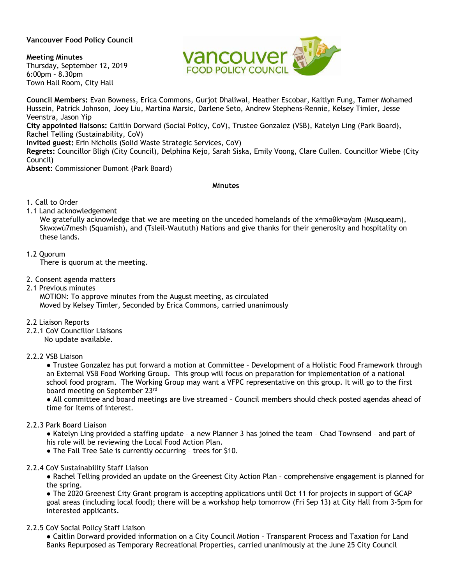## **Vancouver Food Policy Council**

**Meeting Minutes** Thursday, September 12, 2019 6:00pm – 8.30pm Town Hall Room, City Hall



**Council Members:** Evan Bowness, Erica Commons, Gurjot Dhaliwal, Heather Escobar, Kaitlyn Fung, Tamer Mohamed Hussein, Patrick Johnson, Joey Liu, Martina Marsic, Darlene Seto, Andrew Stephens-Rennie, Kelsey Timler, Jesse Veenstra, Jason Yip **City appointed liaisons:** Caitlin Dorward (Social Policy, CoV), Trustee Gonzalez (VSB), Katelyn Ling (Park Board),

Rachel Telling (Sustainability, CoV)

**Invited guest:** Erin Nicholls (Solid Waste Strategic Services, CoV)

**Regrets:** Councillor Bligh (City Council), Delphina Kejo, Sarah Siska, Emily Voong, Clare Cullen. Councillor Wiebe (City Council)

**Absent:** Commissioner Dumont (Park Board)

#### **Minutes**

- 1. Call to Order
- 1.1 Land acknowledgement

We gratefully acknowledge that we are meeting on the unceded homelands of the xʷməθkʷəy̓əm (Musqueam), Skwxwú7mesh (Squamish), and (Tsleil-Waututh) Nations and give thanks for their generosity and hospitality on these lands.

1.2 Quorum

There is quorum at the meeting.

- 2. Consent agenda matters
- 2.1 Previous minutes

MOTION: To approve minutes from the August meeting, as circulated Moved by Kelsey Timler, Seconded by Erica Commons, carried unanimously

- 2.2 Liaison Reports
- 2.2.1 CoV Councillor Liaisons

No update available.

# 2.2.2 VSB Liaison

● Trustee Gonzalez has put forward a motion at Committee – Development of a Holistic Food Framework through an External VSB Food Working Group. This group will focus on preparation for implementation of a national school food program. The Working Group may want a VFPC representative on this group. It will go to the first board meeting on September 23rd

● All committee and board meetings are live streamed – Council members should check posted agendas ahead of time for items of interest.

#### 2.2.3 Park Board Liaison

● Katelyn Ling provided a staffing update – a new Planner 3 has joined the team – Chad Townsend – and part of his role will be reviewing the Local Food Action Plan.

● The Fall Tree Sale is currently occurring – trees for \$10.

2.2.4 CoV Sustainability Staff Liaison

● Rachel Telling provided an update on the Greenest City Action Plan – comprehensive engagement is planned for the spring.

• The 2020 Greenest City Grant program is accepting applications until Oct 11 for projects in support of GCAP goal areas (including local food); there will be a workshop help tomorrow (Fri Sep 13) at City Hall from 3-5pm for interested applicants.

2.2.5 CoV Social Policy Staff Liaison

● Caitlin Dorward provided information on a City Council Motion – Transparent Process and Taxation for Land Banks Repurposed as Temporary Recreational Properties, carried unanimously at the June 25 City Council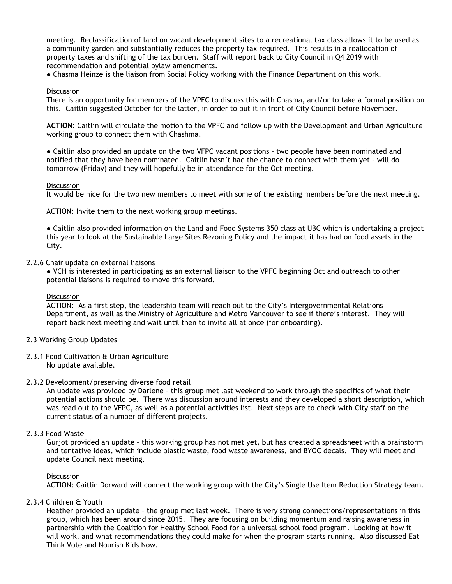meeting. Reclassification of land on vacant development sites to a recreational tax class allows it to be used as a community garden and substantially reduces the property tax required. This results in a reallocation of property taxes and shifting of the tax burden. Staff will report back to City Council in Q4 2019 with recommendation and potential bylaw amendments.

● Chasma Heinze is the liaison from Social Policy working with the Finance Department on this work.

### **Discussion**

There is an opportunity for members of the VPFC to discuss this with Chasma, and/or to take a formal position on this. Caitlin suggested October for the latter, in order to put it in front of City Council before November.

**ACTION:** Caitlin will circulate the motion to the VPFC and follow up with the Development and Urban Agriculture working group to connect them with Chashma.

● Caitlin also provided an update on the two VFPC vacant positions – two people have been nominated and notified that they have been nominated. Caitlin hasn't had the chance to connect with them yet – will do tomorrow (Friday) and they will hopefully be in attendance for the Oct meeting.

#### **Discussion**

It would be nice for the two new members to meet with some of the existing members before the next meeting.

ACTION: Invite them to the next working group meetings.

● Caitlin also provided information on the Land and Food Systems 350 class at UBC which is undertaking a project this year to look at the Sustainable Large Sites Rezoning Policy and the impact it has had on food assets in the City.

#### 2.2.6 Chair update on external liaisons

● VCH is interested in participating as an external liaison to the VPFC beginning Oct and outreach to other potential liaisons is required to move this forward.

#### **Discussion**

ACTION: As a first step, the leadership team will reach out to the City's Intergovernmental Relations Department, as well as the Ministry of Agriculture and Metro Vancouver to see if there's interest. They will report back next meeting and wait until then to invite all at once (for onboarding).

#### 2.3 Working Group Updates

- 2.3.1 Food Cultivation & Urban Agriculture No update available.
- 2.3.2 Development/preserving diverse food retail

An update was provided by Darlene – this group met last weekend to work through the specifics of what their potential actions should be. There was discussion around interests and they developed a short description, which was read out to the VFPC, as well as a potential activities list. Next steps are to check with City staff on the current status of a number of different projects.

#### 2.3.3 Food Waste

Gurjot provided an update – this working group has not met yet, but has created a spreadsheet with a brainstorm and tentative ideas, which include plastic waste, food waste awareness, and BYOC decals. They will meet and update Council next meeting.

#### **Discussion**

ACTION: Caitlin Dorward will connect the working group with the City's Single Use Item Reduction Strategy team.

#### 2.3.4 Children & Youth

Heather provided an update – the group met last week. There is very strong connections/representations in this group, which has been around since 2015. They are focusing on building momentum and raising awareness in partnership with the Coalition for Healthy School Food for a universal school food program. Looking at how it will work, and what recommendations they could make for when the program starts running. Also discussed Eat Think Vote and Nourish Kids Now.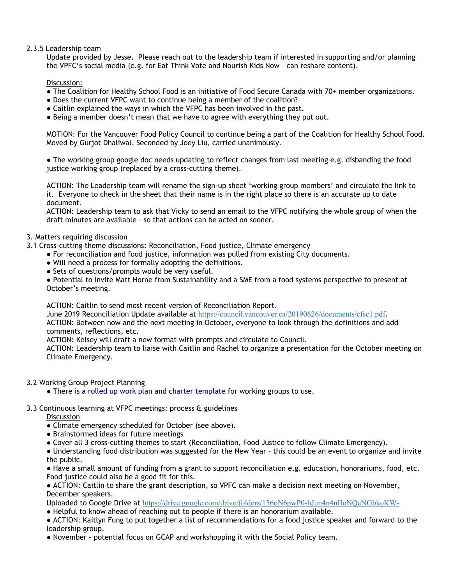# 2.3.5 Leadership team

Update provided by Jesse. Please reach out to the leadership team if interested in supporting and/or planning the VPFC's social media (e.g. for Eat Think Vote and Nourish Kids Now – can reshare content).

## Discussion:

- The Coalition for Healthy School Food is an initiative of Food Secure Canada with 70+ member organizations.
- Does the current VFPC want to continue being a member of the coalition?
- Caitlin explained the ways in which the VFPC has been involved in the past.
- Being a member doesn't mean that we have to agree with everything they put out.

MOTION: For the Vancouver Food Policy Council to continue being a part of the Coalition for Healthy School Food. Moved by Gurjot Dhaliwal, Seconded by Joey Liu, carried unanimously.

• The working group google doc needs updating to reflect changes from last meeting e.g. disbanding the food justice working group (replaced by a cross-cutting theme).

ACTION: The Leadership team will rename the sign-up sheet 'working group members' and circulate the link to it. Everyone to check in the sheet that their name is in the right place so there is an accurate up to date document.

ACTION: Leadership team to ask that Vicky to send an email to the VFPC notifying the whole group of when the draft minutes are available – so that actions can be acted on sooner.

## 3. Matters requiring discussion

- 3.1 Cross-cutting theme discussions: Reconciliation, Food justice, Climate emergency
	- For reconciliation and food justice, information was pulled from existing City documents.
	- Will need a process for formally adopting the definitions.
	- Sets of questions/prompts would be very useful.

● Potential to invite Matt Horne from Sustainability and a SME from a food systems perspective to present at October's meeting.

ACTION: Caitlin to send most recent version of Reconciliation Report.

June 2019 Reconciliation Update available at <https://council.vancouver.ca/20190626/documents/cfsc1.pdf>.

ACTION: Between now and the next meeting in October, everyone to look through the definitions and add comments, reflections, etc.

ACTION: Kelsey will draft a new format with prompts and circulate to Council.

ACTION: Leadership team to liaise with Caitlin and Rachel to organize a presentation for the October meeting on Climate Emergency.

#### 3.2 Working Group Project Planning

• There is a [rolled up work plan](https://docs.google.com/document/d/1mdTpm4e58f301hHxkLysfruCZA09N-OJ/edit) and [charter template](https://docs.google.com/document/d/11DC8q-quh7taLz1FQhWUGFjIWU2H5Zyr3K26wQvPF0k/edit) for working groups to use.

#### 3.3 Continuous learning at VFPC meetings: process & guidelines

**Discussion** 

- Climate emergency scheduled for October (see above).
- Brainstormed ideas for future meetings
- Cover all 3 cross-cutting themes to start (Reconciliation, Food Justice to follow Climate Emergency).

● Understanding food distribution was suggested for the New Year - this could be an event to organize and invite the public.

● Have a small amount of funding from a grant to support reconciliation e.g. education, honorariums, food, etc. Food justice could also be a good fit for this.

● ACTION: Caitlin to share the grant description, so VPFC can make a decision next meeting on November, December speakers.

Uploaded to Google Drive at <https://drive.google.com/drive/folders/156oN6pwP0-hJun4n4nIIoNQeNGbkoKW->

● Helpful to know ahead of reaching out to people if there is an honorarium available.

● ACTION: Kaitlyn Fung to put together a list of recommendations for a food justice speaker and forward to the leadership group.

● November – potential focus on GCAP and workshopping it with the Social Policy team.